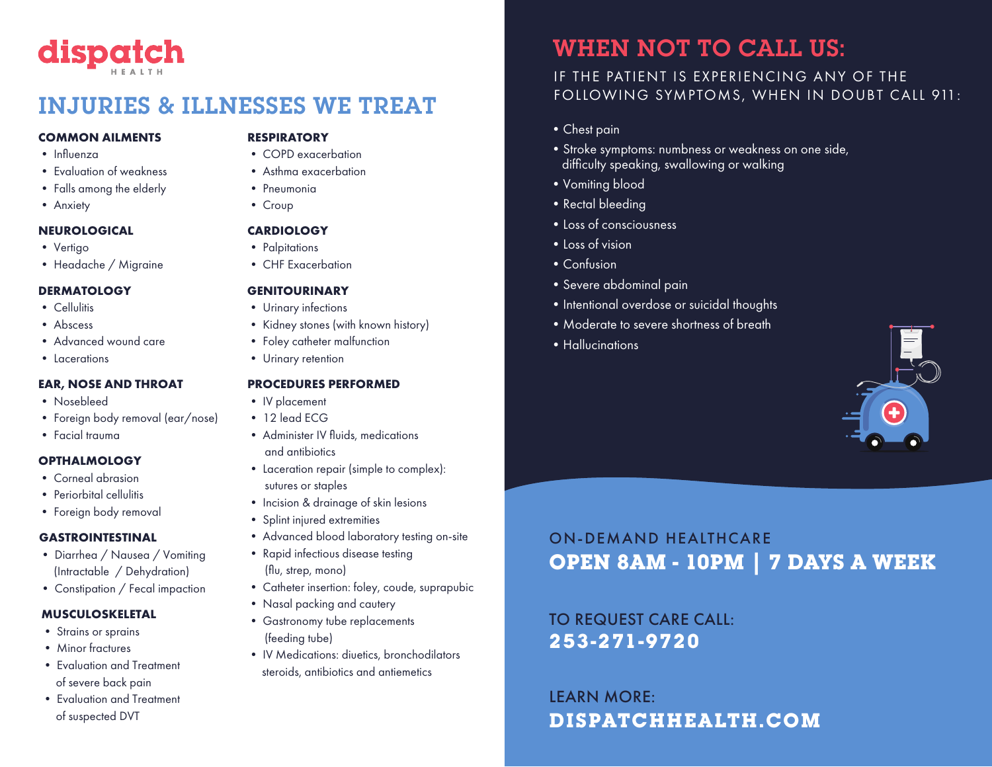# dispatch

# INJURIES & ILLNESSES WE TREAT

#### **COMMON AILMENTS**

- Influenza
- Evaluation of weakness
- Falls among the elderly
- Anxiety

#### **NEUROLOGICAL**

- Vertigo
- Headache / Migraine

#### **DERMATOLOGY**

- Cellulitis
- Abscess
- Advanced wound care
- Lacerations

#### **EAR, NOSE AND THROAT**

- Nosebleed
- Foreign body removal (ear/nose)
- Facial trauma

#### **OPTHALMOLOGY**

- Corneal abrasion
- Periorbital cellulitis
- Foreign body removal

#### **GASTROINTESTINAL**

- Diarrhea / Nausea / Vomiting (Intractable / Dehydration)
- Constipation / Fecal impaction

### **MUSCULOSKELETAL**

- Strains or sprains
- Minor fractures
- Evaluation and Treatment of severe back pain
- Evaluation and Treatment of suspected DVT

### **RESPIRATORY**

- COPD exacerbation
- Asthma exacerbation
- Pneumonia
- Croup

#### **CARDIOLOGY**

- Palpitations
- CHF Exacerbation

#### **GENITOURINARY**

- Urinary infections
- Kidney stones (with known history)
- Foley catheter malfunction
- Urinary retention

#### **PROCEDURES PERFORMED**

- IV placement
- 12 lead ECG
- Administer IV fluids, medications and antibiotics
- Laceration repair (simple to complex): sutures or staples
- Incision & drainage of skin lesions
- Splint injured extremities
- Advanced blood laboratory testing on-site
- Rapid infectious disease testing (flu, strep, mono)
- Catheter insertion: foley, coude, suprapubic
- Nasal packing and cautery
- Gastronomy tube replacements (feeding tube)
- IV Medications: diuetics, bronchodilators steroids, antibiotics and antiemetics

# WHEN NOT TO CALL US:

### IF THE PATIENT IS EXPERIENCING ANY OF THE FOLLOWING SYMPTOMS, WHEN IN DOUBT CALL 911:

- •Chest pain
- •Stroke symptoms: numbness or weakness on one side, difficulty speaking, swallowing or walking
- •Vomiting blood
- Rectal bleeding
- •Loss of consciousness
- •Loss of vision
- •Confusion
- •Severe abdominal pain
- Intentional overdose or suicidal thoughts
- •Moderate to severe shortness of breath
- Hallucinations

# ON-DEMAND HEALTHCARE **OPEN 8AM - 10PM | 7 DAYS A WEEK**

**253-271-9720** TO REQUEST CARE CALL:

# **DISPATCHHEALTH.COM** LEARN MORE: